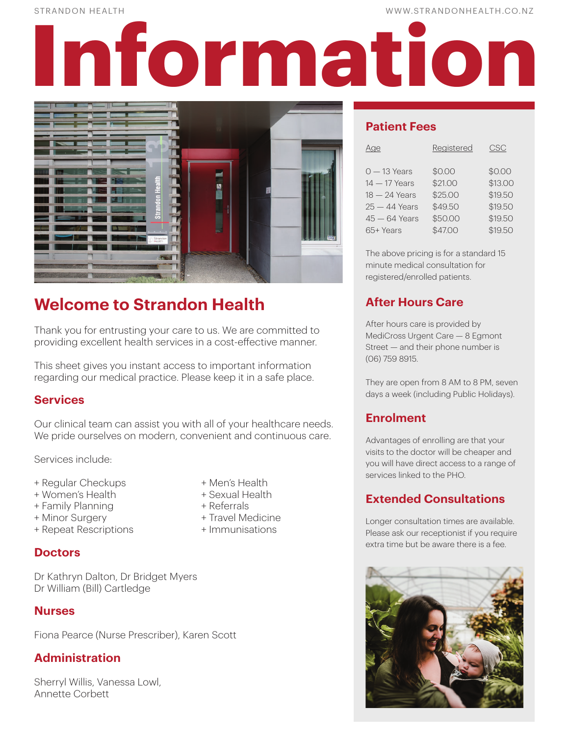STRANDON HEALTH WWW.STRANDONHEALTH.CO.NZ

# **Information**



# **Welcome to Strandon Health**

Thank you for entrusting your care to us. We are committed to providing excellent health services in a cost-effective manner.

This sheet gives you instant access to important information regarding our medical practice. Please keep it in a safe place.

# **Services**

Our clinical team can assist you with all of your healthcare needs. We pride ourselves on modern, convenient and continuous care.

Services include:

- + Regular Checkups + Men's Health
- + Women's Health + Sexual Health
- + Family Planning + Referrals
- + Minor Surgery + Travel Medicine
- + Repeat Rescriptions + Immunisations
- **Doctors**

Dr Kathryn Dalton, Dr Bridget Myers Dr William (Bill) Cartledge

# **Nurses**

Fiona Pearce (Nurse Prescriber), Karen Scott

# **Administration**

Sherryl Willis, Vanessa Lowl, Annette Corbett

- 
- 
- 
- 
- 

# **Patient Fees**

| Age             | Registered | <b>CSC</b> |
|-----------------|------------|------------|
| $0 - 13$ Years  | \$0.00     | \$0.00     |
| $14 - 17$ Years | \$21.00    | \$13.00    |
| $18 - 24$ Years | \$25.00    | \$19.50    |
| $25 - 44$ Years | \$49.50    | \$19.50    |
| $45 - 64$ Years | \$50.00    | \$19.50    |
| 65+ Years       | \$47.00    | \$19.50    |

The above pricing is for a standard 15 minute medical consultation for registered/enrolled patients.

# **After Hours Care**

After hours care is provided by MediCross Urgent Care — 8 Egmont Street — and their phone number is (06) 759 8915.

They are open from 8 AM to 8 PM, seven days a week (including Public Holidays).

# **Enrolment**

Advantages of enrolling are that your visits to the doctor will be cheaper and you will have direct access to a range of services linked to the PHO.

# **Extended Consultations**

Longer consultation times are available. Please ask our receptionist if you require extra time but be aware there is a fee.